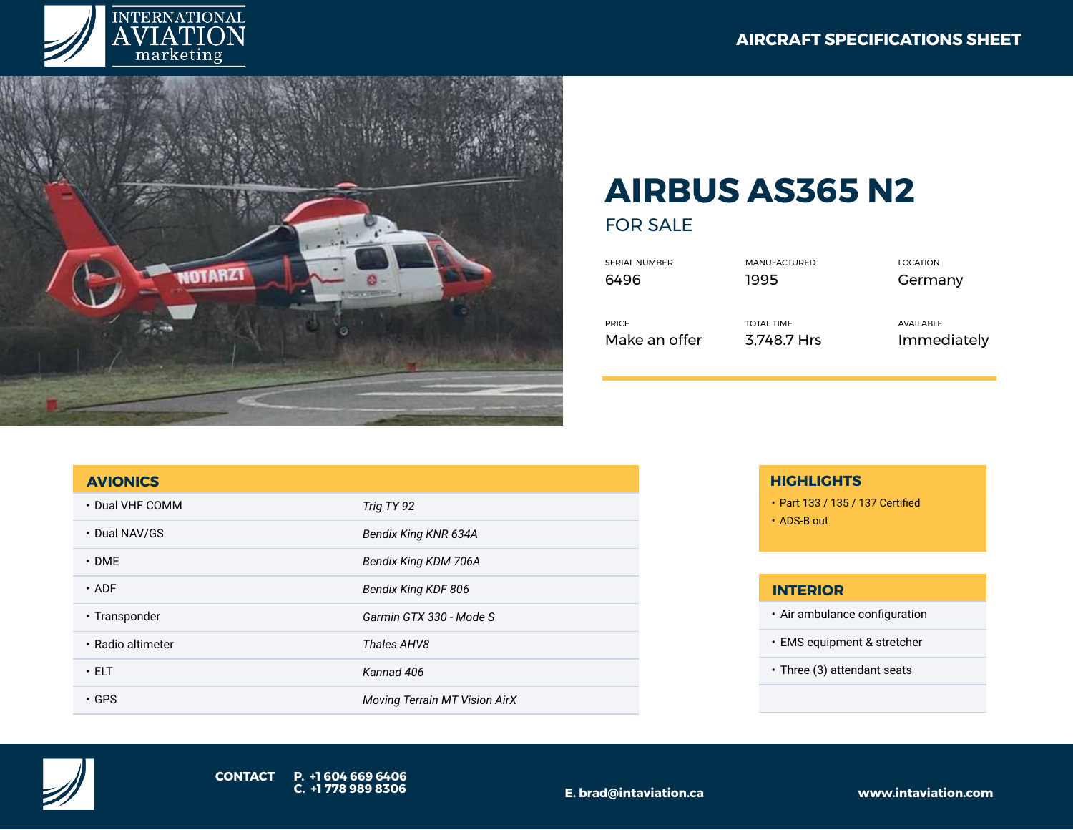



# **AIRBUS AS365 N2**

FOR SALE

SERIAL NUMBER MANUFACTURED LOCATION 6496 1995 Germany

PRICE TOTAL TIME AVAILABLE

Make an offer 3,748.7 Hrs Immediately

#### **AVIONICS**

| • Dual VHF COMM   | Trig TY 92                    |
|-------------------|-------------------------------|
| • Dual NAV/GS     | Bendix King KNR 634A          |
| $\cdot$ DME       | Bendix King KDM 706A          |
| $\cdot$ ADF       | Bendix King KDF 806           |
| • Transponder     | Garmin GTX 330 - Mode S       |
| • Radio altimeter | Thales AHV8                   |
| $\cdot$ ELT       | Kannad 406                    |
| $\cdot$ GPS       | Moving Terrain MT Vision AirX |

### **HIGHLIGHTS**

- Part 133 / 135 / 137 Certified
- ADS-B out

#### **INTERIOR**

- Air ambulance configuration
- EMS equipment & stretcher
- Three (3) attendant seats

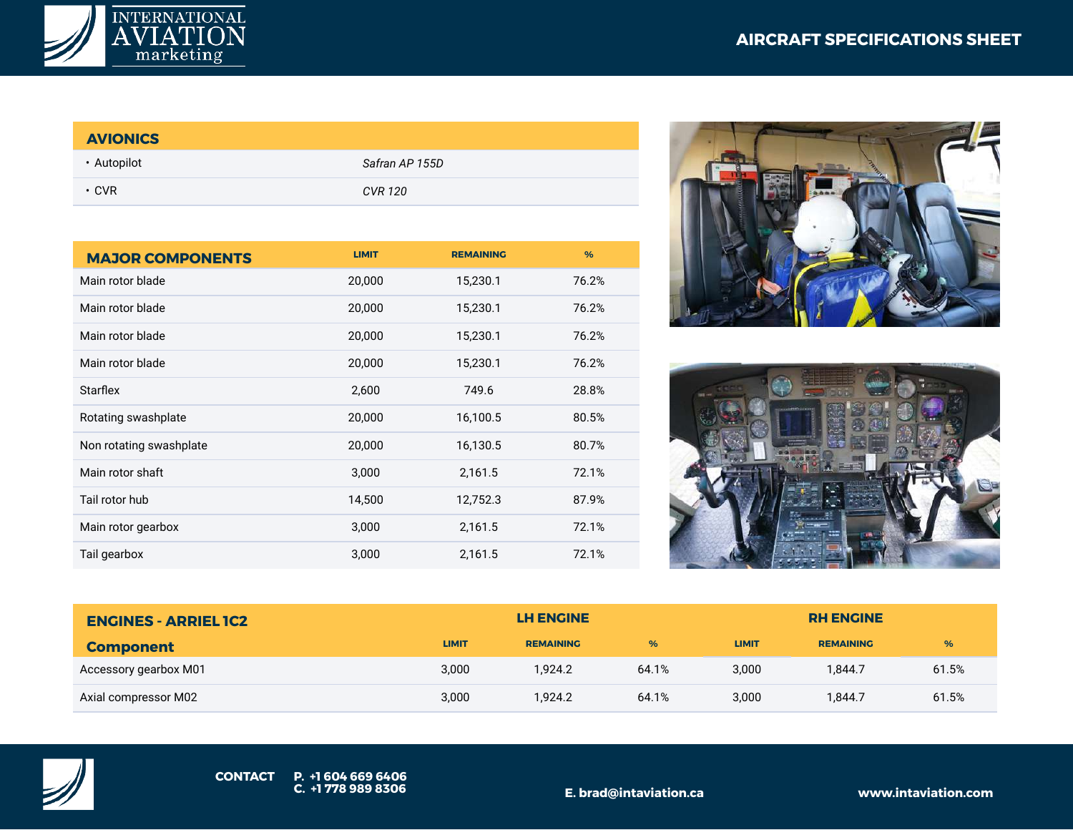

## **AVIONICS**

| • Autopilot | Safran AP 155D |
|-------------|----------------|
| $\cdot$ CVR | CVR 120        |

| <b>MAJOR COMPONENTS</b> | <b>LIMIT</b> | <b>REMAINING</b> | $\frac{9}{6}$ |
|-------------------------|--------------|------------------|---------------|
| Main rotor blade        | 20,000       | 15,230.1         | 76.2%         |
| Main rotor blade        | 20,000       | 15,230.1         | 76.2%         |
| Main rotor blade        | 20,000       | 15,230.1         | 76.2%         |
| Main rotor blade        | 20,000       | 15,230.1         | 76.2%         |
| <b>Starflex</b>         | 2,600        | 749.6            | 28.8%         |
| Rotating swashplate     | 20,000       | 16,100.5         | 80.5%         |
| Non rotating swashplate | 20,000       | 16,130.5         | 80.7%         |
| Main rotor shaft        | 3,000        | 2,161.5          | 72.1%         |
| Tail rotor hub          | 14,500       | 12,752.3         | 87.9%         |
| Main rotor gearbox      | 3,000        | 2,161.5          | 72.1%         |
| Tail gearbox            | 3,000        | 2,161.5          | 72.1%         |





| <b>ENGINES - ARRIEL IC2</b> |              | <b>LH ENGINE</b> |       |              | <b>RH ENGINE</b> |       |  |
|-----------------------------|--------------|------------------|-------|--------------|------------------|-------|--|
| <b>Component</b>            | <b>LIMIT</b> | <b>REMAINING</b> | %     | <b>LIMIT</b> | <b>REMAINING</b> | %     |  |
| Accessory gearbox M01       | 3,000        | 1.924.2          | 64.1% | 3.000        | 1.844.7          | 61.5% |  |
| Axial compressor M02        | 3,000        | 1.924.2          | 64.1% | 3,000        | 1.844.7          | 61.5% |  |